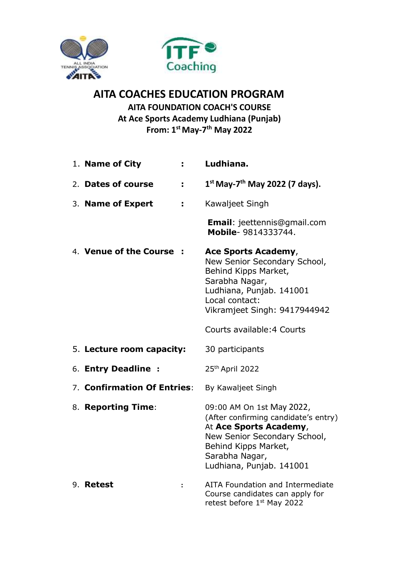



## **AITA COACHES EDUCATION PROGRAM AITA FOUNDATION COACH'S COURSE**

**At Ace Sports Academy Ludhiana (Punjab) From: 1 st May-7 th May 2022**

| 1. Name of City<br>÷,       | Ludhiana.                                                                                                                                                                                         |
|-----------------------------|---------------------------------------------------------------------------------------------------------------------------------------------------------------------------------------------------|
| 2. Dates of course<br>÷     | $1^{st}$ May-7 <sup>th</sup> May 2022 (7 days).                                                                                                                                                   |
| 3. Name of Expert<br>÷      | Kawaljeet Singh                                                                                                                                                                                   |
|                             | <b>Email:</b> jeettennis@gmail.com<br>Mobile- 9814333744.                                                                                                                                         |
| 4. Venue of the Course      | Ace Sports Academy,<br>New Senior Secondary School,<br>Behind Kipps Market,<br>Sarabha Nagar,<br>Ludhiana, Punjab. 141001<br>Local contact:<br>Vikramjeet Singh: 9417944942                       |
|                             | Courts available: 4 Courts                                                                                                                                                                        |
| 5. Lecture room capacity:   | 30 participants                                                                                                                                                                                   |
| 6. Entry Deadline :         | 25th April 2022                                                                                                                                                                                   |
| 7. Confirmation Of Entries: | By Kawaljeet Singh                                                                                                                                                                                |
| 8. Reporting Time:          | 09:00 AM On 1st May 2022,<br>(After confirming candidate's entry)<br>At Ace Sports Academy,<br>New Senior Secondary School,<br>Behind Kipps Market,<br>Sarabha Nagar,<br>Ludhiana, Punjab. 141001 |
| 9. Retest<br>:              | AITA Foundation and Intermediate<br>Course candidates can apply for<br>retest before 1 <sup>st</sup> May 2022                                                                                     |